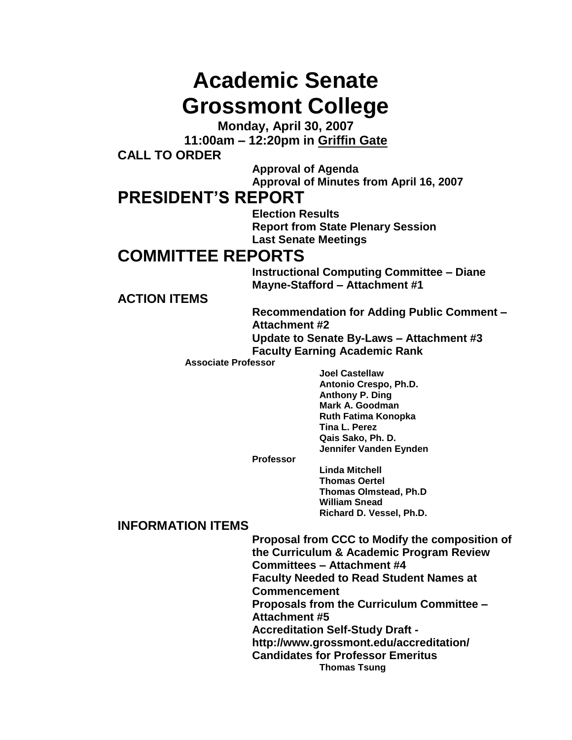# **Academic Senate Grossmont College**

**Monday, April 30, 2007**

**11:00am – 12:20pm in Griffin Gate**

**CALL TO ORDER**

**Approval of Agenda Approval of Minutes from April 16, 2007**

# **PRESIDENT'S REPORT**

**Election Results Report from State Plenary Session Last Senate Meetings**

# **COMMITTEE REPORTS**

**Instructional Computing Committee – Diane Mayne-Stafford – Attachment #1**

**ACTION ITEMS**

**Recommendation for Adding Public Comment – Attachment #2 Update to Senate By-Laws – Attachment #3**

**Faculty Earning Academic Rank**

**Associate Professor**

**Joel Castellaw Antonio Crespo, Ph.D. Anthony P. Ding Mark A. Goodman Ruth Fatima Konopka Tina L. Perez Qais Sako, Ph. D. Jennifer Vanden Eynden**

**Professor**

**Linda Mitchell Thomas Oertel Thomas Olmstead, Ph.D William Snead Richard D. Vessel, Ph.D.**

# **INFORMATION ITEMS**

**Proposal from CCC to Modify the composition of the Curriculum & Academic Program Review Committees – Attachment #4 Faculty Needed to Read Student Names at Commencement Proposals from the Curriculum Committee – Attachment #5 Accreditation Self-Study Draft http://www.grossmont.edu/accreditation/ Candidates for Professor Emeritus Thomas Tsung**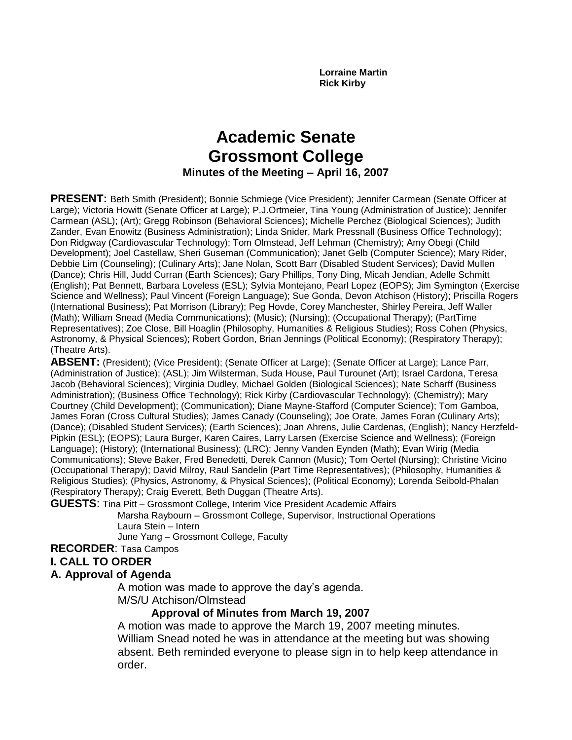**Lorraine Martin Rick Kirby**

# **Academic Senate Grossmont College Minutes of the Meeting – April 16, 2007**

**PRESENT:** Beth Smith (President); Bonnie Schmiege (Vice President); Jennifer Carmean (Senate Officer at Large); Victoria Howitt (Senate Officer at Large); P.J.Ortmeier, Tina Young (Administration of Justice); Jennifer Carmean (ASL); (Art); Gregg Robinson (Behavioral Sciences); Michelle Perchez (Biological Sciences); Judith Zander, Evan Enowitz (Business Administration); Linda Snider, Mark Pressnall (Business Office Technology); Don Ridgway (Cardiovascular Technology); Tom Olmstead, Jeff Lehman (Chemistry); Amy Obegi (Child Development); Joel Castellaw, Sheri Guseman (Communication); Janet Gelb (Computer Science); Mary Rider, Debbie Lim (Counseling); (Culinary Arts); Jane Nolan, Scott Barr (Disabled Student Services); David Mullen (Dance); Chris Hill, Judd Curran (Earth Sciences); Gary Phillips, Tony Ding, Micah Jendian, Adelle Schmitt (English); Pat Bennett, Barbara Loveless (ESL); Sylvia Montejano, Pearl Lopez (EOPS); Jim Symington (Exercise Science and Wellness); Paul Vincent (Foreign Language); Sue Gonda, Devon Atchison (History); Priscilla Rogers (International Business); Pat Morrison (Library); Peg Hovde, Corey Manchester, Shirley Pereira, Jeff Waller (Math); William Snead (Media Communications); (Music); (Nursing); (Occupational Therapy); (PartTime Representatives); Zoe Close, Bill Hoaglin (Philosophy, Humanities & Religious Studies); Ross Cohen (Physics, Astronomy, & Physical Sciences); Robert Gordon, Brian Jennings (Political Economy); (Respiratory Therapy); (Theatre Arts).

**ABSENT:** (President); (Vice President); (Senate Officer at Large); (Senate Officer at Large); Lance Parr, (Administration of Justice); (ASL); Jim Wilsterman, Suda House, Paul Turounet (Art); Israel Cardona, Teresa Jacob (Behavioral Sciences); Virginia Dudley, Michael Golden (Biological Sciences); Nate Scharff (Business Administration); (Business Office Technology); Rick Kirby (Cardiovascular Technology); (Chemistry); Mary Courtney (Child Development); (Communication); Diane Mayne-Stafford (Computer Science); Tom Gamboa, James Foran (Cross Cultural Studies); James Canady (Counseling); Joe Orate, James Foran (Culinary Arts); (Dance); (Disabled Student Services); (Earth Sciences); Joan Ahrens, Julie Cardenas, (English); Nancy Herzfeld-Pipkin (ESL); (EOPS); Laura Burger, Karen Caires, Larry Larsen (Exercise Science and Wellness); (Foreign Language); (History); (International Business); (LRC); Jenny Vanden Eynden (Math); Evan Wirig (Media Communications); Steve Baker, Fred Benedetti, Derek Cannon (Music); Tom Oertel (Nursing); Christine Vicino (Occupational Therapy); David Milroy, Raul Sandelin (Part Time Representatives); (Philosophy, Humanities & Religious Studies); (Physics, Astronomy, & Physical Sciences); (Political Economy); Lorenda Seibold-Phalan (Respiratory Therapy); Craig Everett, Beth Duggan (Theatre Arts).

**GUESTS**: Tina Pitt – Grossmont College, Interim Vice President Academic Affairs

Marsha Raybourn – Grossmont College, Supervisor, Instructional Operations Laura Stein – Intern

June Yang – Grossmont College, Faculty

**RECORDER**: Tasa Campos

#### **I. CALL TO ORDER**

#### **A. Approval of Agenda**

A motion was made to approve the day's agenda.

M/S/U Atchison/Olmstead

# **Approval of Minutes from March 19, 2007**

A motion was made to approve the March 19, 2007 meeting minutes. William Snead noted he was in attendance at the meeting but was showing absent. Beth reminded everyone to please sign in to help keep attendance in order.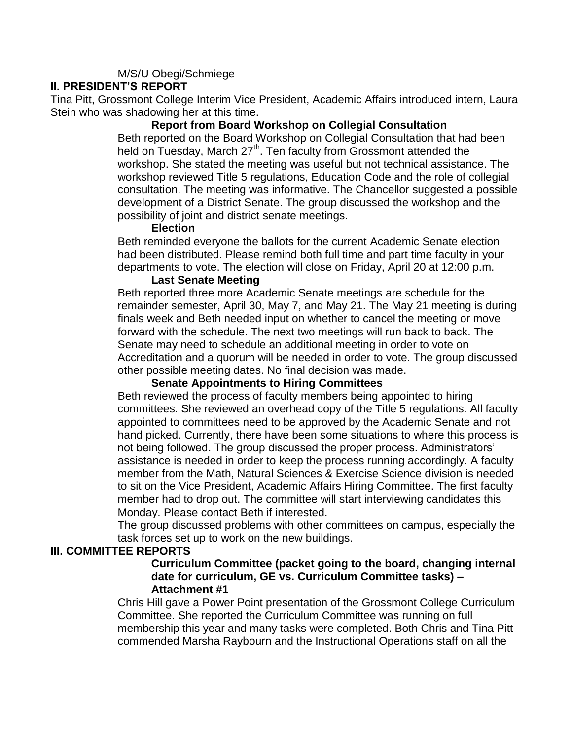#### M/S/U Obegi/Schmiege

#### **II. PRESIDENT'S REPORT**

Tina Pitt, Grossmont College Interim Vice President, Academic Affairs introduced intern, Laura Stein who was shadowing her at this time.

#### **Report from Board Workshop on Collegial Consultation**

Beth reported on the Board Workshop on Collegial Consultation that had been held on Tuesday, March 27<sup>th</sup>. Ten faculty from Grossmont attended the workshop. She stated the meeting was useful but not technical assistance. The workshop reviewed Title 5 regulations, Education Code and the role of collegial consultation. The meeting was informative. The Chancellor suggested a possible development of a District Senate. The group discussed the workshop and the possibility of joint and district senate meetings.

#### **Election**

Beth reminded everyone the ballots for the current Academic Senate election had been distributed. Please remind both full time and part time faculty in your departments to vote. The election will close on Friday, April 20 at 12:00 p.m.

#### **Last Senate Meeting**

Beth reported three more Academic Senate meetings are schedule for the remainder semester, April 30, May 7, and May 21. The May 21 meeting is during finals week and Beth needed input on whether to cancel the meeting or move forward with the schedule. The next two meetings will run back to back. The Senate may need to schedule an additional meeting in order to vote on Accreditation and a quorum will be needed in order to vote. The group discussed other possible meeting dates. No final decision was made.

#### **Senate Appointments to Hiring Committees**

Beth reviewed the process of faculty members being appointed to hiring committees. She reviewed an overhead copy of the Title 5 regulations. All faculty appointed to committees need to be approved by the Academic Senate and not hand picked. Currently, there have been some situations to where this process is not being followed. The group discussed the proper process. Administrators' assistance is needed in order to keep the process running accordingly. A faculty member from the Math, Natural Sciences & Exercise Science division is needed to sit on the Vice President, Academic Affairs Hiring Committee. The first faculty member had to drop out. The committee will start interviewing candidates this Monday. Please contact Beth if interested.

The group discussed problems with other committees on campus, especially the task forces set up to work on the new buildings.

#### **III. COMMITTEE REPORTS**

#### **Curriculum Committee (packet going to the board, changing internal date for curriculum, GE vs. Curriculum Committee tasks) – Attachment #1**

Chris Hill gave a Power Point presentation of the Grossmont College Curriculum Committee. She reported the Curriculum Committee was running on full membership this year and many tasks were completed. Both Chris and Tina Pitt commended Marsha Raybourn and the Instructional Operations staff on all the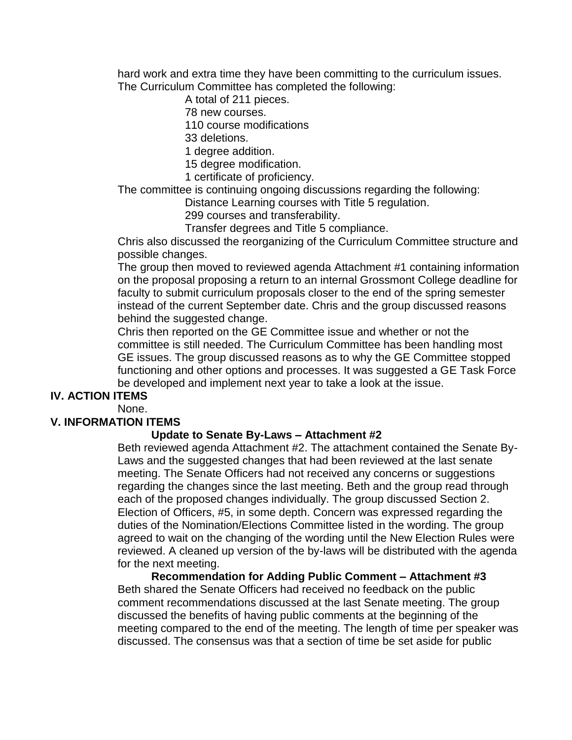hard work and extra time they have been committing to the curriculum issues. The Curriculum Committee has completed the following:

A total of 211 pieces.

78 new courses.

110 course modifications

33 deletions.

1 degree addition.

15 degree modification.

1 certificate of proficiency.

The committee is continuing ongoing discussions regarding the following:

Distance Learning courses with Title 5 regulation.

299 courses and transferability.

Transfer degrees and Title 5 compliance.

Chris also discussed the reorganizing of the Curriculum Committee structure and possible changes.

The group then moved to reviewed agenda Attachment #1 containing information on the proposal proposing a return to an internal Grossmont College deadline for faculty to submit curriculum proposals closer to the end of the spring semester instead of the current September date. Chris and the group discussed reasons behind the suggested change.

Chris then reported on the GE Committee issue and whether or not the committee is still needed. The Curriculum Committee has been handling most GE issues. The group discussed reasons as to why the GE Committee stopped functioning and other options and processes. It was suggested a GE Task Force be developed and implement next year to take a look at the issue.

#### **IV. ACTION ITEMS**

None.

#### **V. INFORMATION ITEMS**

#### **Update to Senate By-Laws – Attachment #2**

Beth reviewed agenda Attachment #2. The attachment contained the Senate By-Laws and the suggested changes that had been reviewed at the last senate meeting. The Senate Officers had not received any concerns or suggestions regarding the changes since the last meeting. Beth and the group read through each of the proposed changes individually. The group discussed Section 2. Election of Officers, #5, in some depth. Concern was expressed regarding the duties of the Nomination/Elections Committee listed in the wording. The group agreed to wait on the changing of the wording until the New Election Rules were reviewed. A cleaned up version of the by-laws will be distributed with the agenda for the next meeting.

**Recommendation for Adding Public Comment – Attachment #3** Beth shared the Senate Officers had received no feedback on the public comment recommendations discussed at the last Senate meeting. The group discussed the benefits of having public comments at the beginning of the meeting compared to the end of the meeting. The length of time per speaker was discussed. The consensus was that a section of time be set aside for public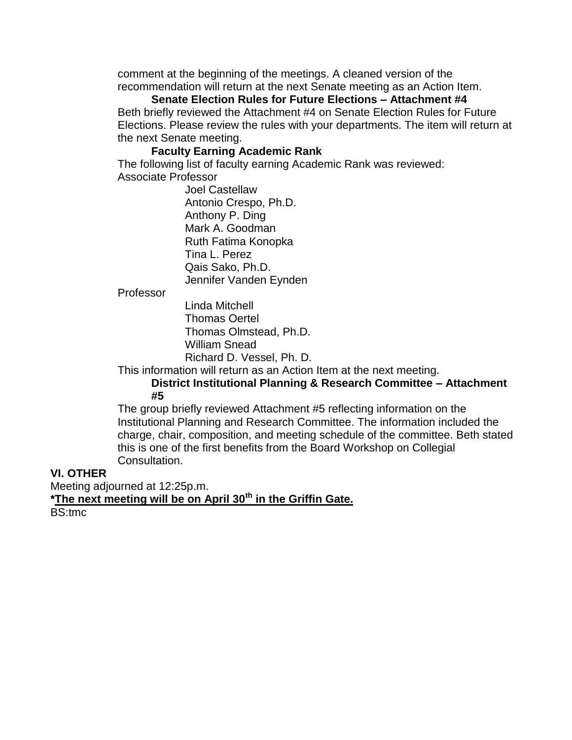comment at the beginning of the meetings. A cleaned version of the recommendation will return at the next Senate meeting as an Action Item.

**Senate Election Rules for Future Elections – Attachment #4** Beth briefly reviewed the Attachment #4 on Senate Election Rules for Future Elections. Please review the rules with your departments. The item will return at the next Senate meeting.

#### **Faculty Earning Academic Rank**

The following list of faculty earning Academic Rank was reviewed: Associate Professor

> Joel Castellaw Antonio Crespo, Ph.D. Anthony P. Ding Mark A. Goodman Ruth Fatima Konopka Tina L. Perez Qais Sako, Ph.D. Jennifer Vanden Eynden

Professor

Linda Mitchell Thomas Oertel Thomas Olmstead, Ph.D. William Snead Richard D. Vessel, Ph. D.

This information will return as an Action Item at the next meeting.

**District Institutional Planning & Research Committee – Attachment #5**

The group briefly reviewed Attachment #5 reflecting information on the Institutional Planning and Research Committee. The information included the charge, chair, composition, and meeting schedule of the committee. Beth stated this is one of the first benefits from the Board Workshop on Collegial Consultation.

#### **VI. OTHER**

Meeting adjourned at 12:25p.m. **\*The next meeting will be on April 30th in the Griffin Gate.** BS:tmc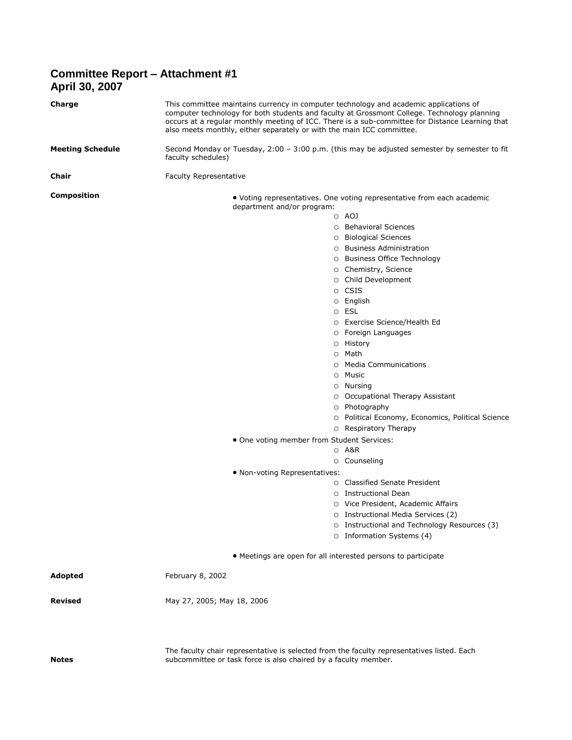#### **Committee Report – Attachment #1 April 30, 2007**

| Charge                  | This committee maintains currency in computer technology and academic applications of<br>computer technology for both students and faculty at Grossmont College. Technology planning<br>occurs at a regular monthly meeting of ICC. There is a sub-committee for Distance Learning that<br>also meets monthly, either separately or with the main ICC committee.                                                                                                                                                                                                                                                                                                                                                                                      |
|-------------------------|-------------------------------------------------------------------------------------------------------------------------------------------------------------------------------------------------------------------------------------------------------------------------------------------------------------------------------------------------------------------------------------------------------------------------------------------------------------------------------------------------------------------------------------------------------------------------------------------------------------------------------------------------------------------------------------------------------------------------------------------------------|
| <b>Meeting Schedule</b> | Second Monday or Tuesday, $2:00 - 3:00$ p.m. (this may be adjusted semester by semester to fit<br>faculty schedules)                                                                                                                                                                                                                                                                                                                                                                                                                                                                                                                                                                                                                                  |
| Chair                   | Faculty Representative                                                                                                                                                                                                                                                                                                                                                                                                                                                                                                                                                                                                                                                                                                                                |
| <b>Composition</b>      | • Voting representatives. One voting representative from each academic<br>department and/or program:<br>o AOJ<br>O Behavioral Sciences<br>○ Biological Sciences<br>○ Business Administration<br>○ Business Office Technology<br>O Chemistry, Science<br>O Child Development<br>o CSIS<br>O English<br>o ESL<br>O Exercise Science/Health Ed<br>○ Foreign Languages<br>o History<br>○ Math<br>○ Media Communications<br>o Music<br>○ Nursing<br>O Occupational Therapy Assistant<br>O Photography<br>O Political Economy, Economics, Political Science<br>$\circ$ Respiratory Therapy<br>• One voting member from Student Services:<br>⊙ A&R<br>O Counseling<br>. Non-voting Representatives:<br>○ Classified Senate President<br>○ Instructional Dean |
|                         | O Vice President, Academic Affairs                                                                                                                                                                                                                                                                                                                                                                                                                                                                                                                                                                                                                                                                                                                    |
|                         | O Instructional Media Services (2)<br>O Instructional and Technology Resources (3)                                                                                                                                                                                                                                                                                                                                                                                                                                                                                                                                                                                                                                                                    |
|                         | O Information Systems (4)                                                                                                                                                                                                                                                                                                                                                                                                                                                                                                                                                                                                                                                                                                                             |
|                         | • Meetings are open for all interested persons to participate                                                                                                                                                                                                                                                                                                                                                                                                                                                                                                                                                                                                                                                                                         |
| Adopted                 | February 8, 2002                                                                                                                                                                                                                                                                                                                                                                                                                                                                                                                                                                                                                                                                                                                                      |
| <b>Revised</b>          | May 27, 2005; May 18, 2006                                                                                                                                                                                                                                                                                                                                                                                                                                                                                                                                                                                                                                                                                                                            |
| <b>Notes</b>            | The faculty chair representative is selected from the faculty representatives listed. Each<br>subcommittee or task force is also chaired by a faculty member.                                                                                                                                                                                                                                                                                                                                                                                                                                                                                                                                                                                         |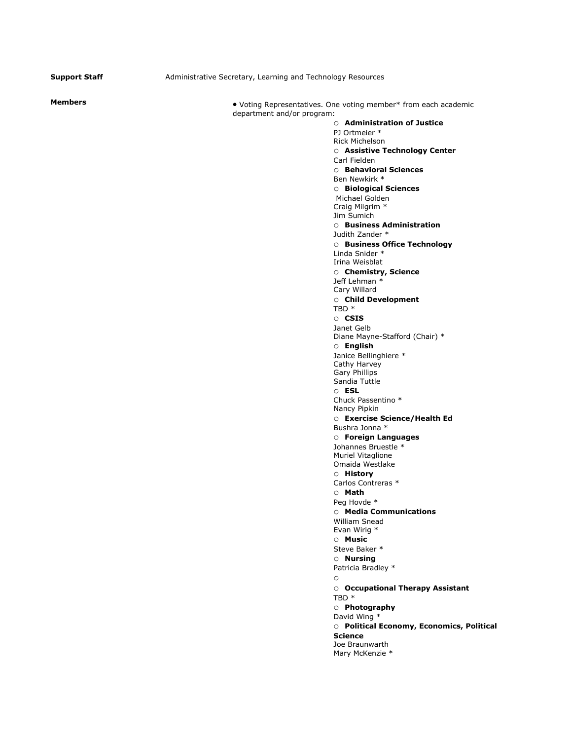**Support Staff Administrative Secretary, Learning and Technology Resources** 

**Members** Members **Members Voting Representatives.** One voting member\* from each academic department and/or program:

o **Administration of Justice** PJ Ortmeier \* Rick Michelson o **Assistive Technology Center** Carl Fielden o **Behavioral Sciences** Ben Newkirk \* o **Biological Sciences** Michael Golden Craig Milgrim \* Jim Sumich o **Business Administration** Judith Zander \* o **Business Office Technology** Linda Snider \* Irina Weisblat o **Chemistry, Science** Jeff Lehman \* Cary Willard o **Child Development** TBD \* o **CSIS** Janet Gelb Diane Mayne-Stafford (Chair) \* o **English** Janice Bellinghiere \* Cathy Harvey Gary Phillips Sandia Tuttle o **ESL** Chuck Passentino \* Nancy Pipkin o **Exercise Science/Health Ed** Bushra Jonna \* o **Foreign Languages** Johannes Bruestle \* Muriel Vitaglione Omaida Westlake o **History** Carlos Contreras \* o **Math** Peg Hovde \* o **Media Communications** William Snead Evan Wirig \* o **Music** Steve Baker \* o **Nursing** Patricia Bradley \* o o **Occupational Therapy Assistant** TBD \* o **Photography** David Wing \* o **Political Economy, Economics, Political Science** Joe Braunwarth Mary McKenzie \*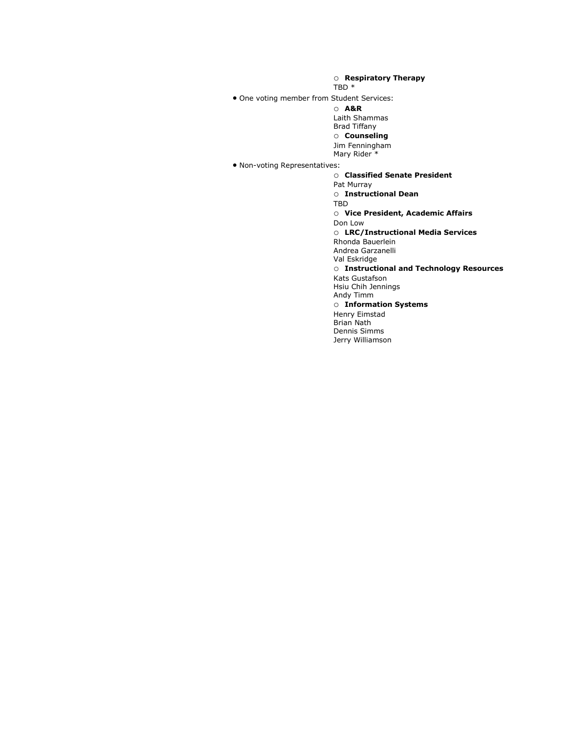o **Respiratory Therapy**

TBD \*

One voting member from Student Services:

o **A&R**

Laith Shammas Brad Tiffany

o **Counseling**

Jim Fenningham

Mary Rider<sup>\*</sup>

Non-voting Representatives:

o **Classified Senate President** Pat Murray o **Instructional Dean** TBD o **Vice President, Academic Affairs** Don Low o **LRC/Instructional Media Services** Rhonda Bauerlein Andrea Garzanelli Val Eskridge o **Instructional and Technology Resources** Kats Gustafson Hsiu Chih Jennings Andy Timm o **Information Systems** Henry Eimstad Brian Nath Dennis Simms Jerry Williamson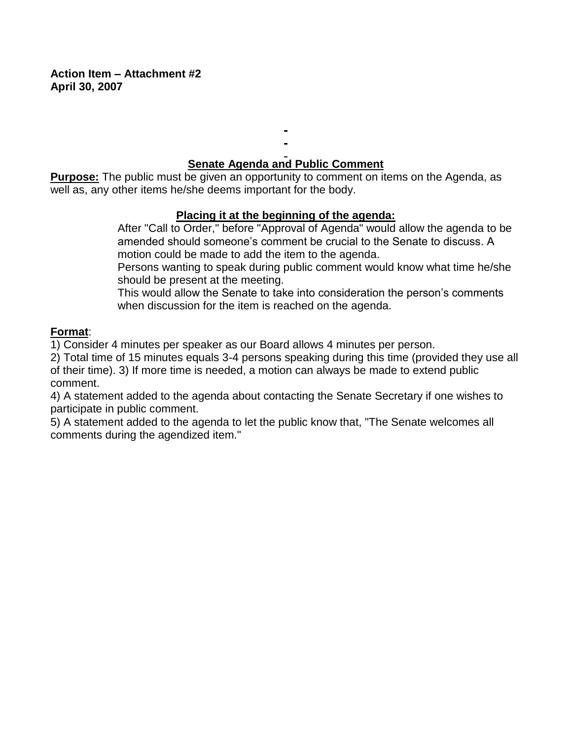**Action Item – Attachment #2 April 30, 2007**

# **Senate Agenda and Public Comment**

**Purpose:** The public must be given an opportunity to comment on items on the Agenda, as well as, any other items he/she deems important for the body.

### **Placing it at the beginning of the agenda:**

After "Call to Order," before "Approval of Agenda" would allow the agenda to be amended should someone's comment be crucial to the Senate to discuss. A motion could be made to add the item to the agenda.

Persons wanting to speak during public comment would know what time he/she should be present at the meeting.

This would allow the Senate to take into consideration the person's comments when discussion for the item is reached on the agenda.

### **Format**:

1) Consider 4 minutes per speaker as our Board allows 4 minutes per person.

2) Total time of 15 minutes equals 3-4 persons speaking during this time (provided they use all of their time). 3) If more time is needed, a motion can always be made to extend public comment.

4) A statement added to the agenda about contacting the Senate Secretary if one wishes to participate in public comment.

5) A statement added to the agenda to let the public know that, "The Senate welcomes all comments during the agendized item."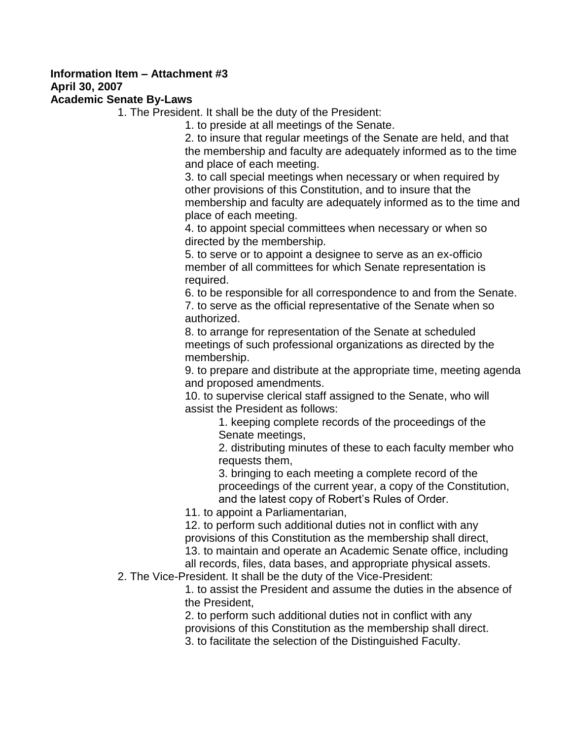# **Information Item – Attachment #3 April 30, 2007**

#### **Academic Senate By-Laws**

1. The President. It shall be the duty of the President:

1. to preside at all meetings of the Senate.

2. to insure that regular meetings of the Senate are held, and that the membership and faculty are adequately informed as to the time and place of each meeting.

3. to call special meetings when necessary or when required by other provisions of this Constitution, and to insure that the membership and faculty are adequately informed as to the time and place of each meeting.

4. to appoint special committees when necessary or when so directed by the membership.

5. to serve or to appoint a designee to serve as an ex-officio member of all committees for which Senate representation is required.

6. to be responsible for all correspondence to and from the Senate. 7. to serve as the official representative of the Senate when so authorized.

8. to arrange for representation of the Senate at scheduled meetings of such professional organizations as directed by the membership.

9. to prepare and distribute at the appropriate time, meeting agenda and proposed amendments.

10. to supervise clerical staff assigned to the Senate, who will assist the President as follows:

1. keeping complete records of the proceedings of the Senate meetings,

2. distributing minutes of these to each faculty member who requests them,

3. bringing to each meeting a complete record of the proceedings of the current year, a copy of the Constitution, and the latest copy of Robert's Rules of Order.

11. to appoint a Parliamentarian,

12. to perform such additional duties not in conflict with any provisions of this Constitution as the membership shall direct, 13. to maintain and operate an Academic Senate office, including all records, files, data bases, and appropriate physical assets.

2. The Vice-President. It shall be the duty of the Vice-President:

1. to assist the President and assume the duties in the absence of the President,

2. to perform such additional duties not in conflict with any provisions of this Constitution as the membership shall direct.

3. to facilitate the selection of the Distinguished Faculty.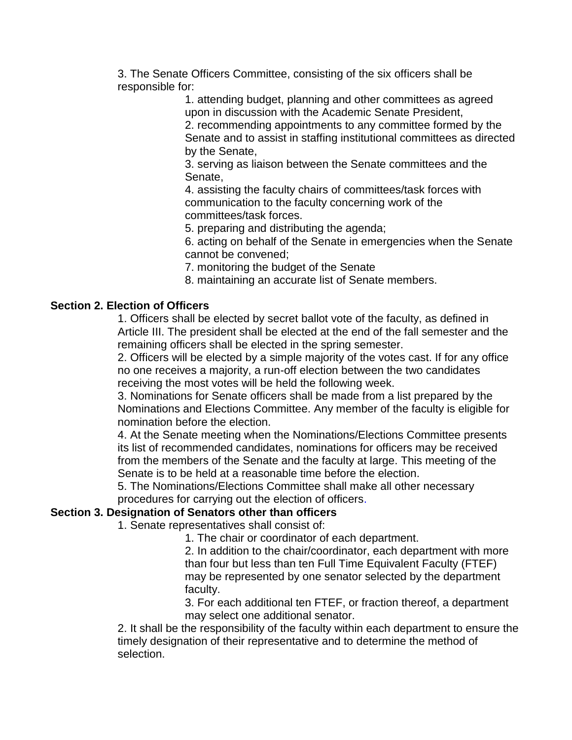3. The Senate Officers Committee, consisting of the six officers shall be responsible for:

> 1. attending budget, planning and other committees as agreed upon in discussion with the Academic Senate President,

2. recommending appointments to any committee formed by the Senate and to assist in staffing institutional committees as directed by the Senate,

3. serving as liaison between the Senate committees and the Senate,

4. assisting the faculty chairs of committees/task forces with communication to the faculty concerning work of the committees/task forces.

5. preparing and distributing the agenda;

6. acting on behalf of the Senate in emergencies when the Senate cannot be convened;

7. monitoring the budget of the Senate

8. maintaining an accurate list of Senate members.

### **Section 2. Election of Officers**

1. Officers shall be elected by secret ballot vote of the faculty, as defined in Article III. The president shall be elected at the end of the fall semester and the remaining officers shall be elected in the spring semester.

2. Officers will be elected by a simple majority of the votes cast. If for any office no one receives a majority, a run-off election between the two candidates receiving the most votes will be held the following week.

3. Nominations for Senate officers shall be made from a list prepared by the Nominations and Elections Committee. Any member of the faculty is eligible for nomination before the election.

4. At the Senate meeting when the Nominations/Elections Committee presents its list of recommended candidates, nominations for officers may be received from the members of the Senate and the faculty at large. This meeting of the Senate is to be held at a reasonable time before the election.

5. The Nominations/Elections Committee shall make all other necessary procedures for carrying out the election of officers.

#### **Section 3. Designation of Senators other than officers**

1. Senate representatives shall consist of:

1. The chair or coordinator of each department.

2. In addition to the chair/coordinator, each department with more than four but less than ten Full Time Equivalent Faculty (FTEF) may be represented by one senator selected by the department faculty.

3. For each additional ten FTEF, or fraction thereof, a department may select one additional senator.

2. It shall be the responsibility of the faculty within each department to ensure the timely designation of their representative and to determine the method of selection.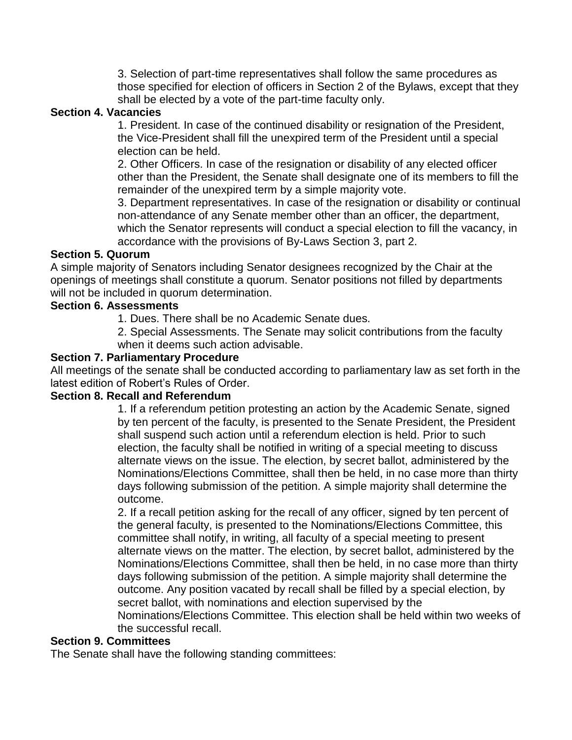3. Selection of part-time representatives shall follow the same procedures as those specified for election of officers in Section 2 of the Bylaws, except that they shall be elected by a vote of the part-time faculty only.

#### **Section 4. Vacancies**

1. President. In case of the continued disability or resignation of the President, the Vice-President shall fill the unexpired term of the President until a special election can be held.

2. Other Officers. In case of the resignation or disability of any elected officer other than the President, the Senate shall designate one of its members to fill the remainder of the unexpired term by a simple majority vote.

3. Department representatives. In case of the resignation or disability or continual non-attendance of any Senate member other than an officer, the department, which the Senator represents will conduct a special election to fill the vacancy, in accordance with the provisions of By-Laws Section 3, part 2.

#### **Section 5. Quorum**

A simple majority of Senators including Senator designees recognized by the Chair at the openings of meetings shall constitute a quorum. Senator positions not filled by departments will not be included in quorum determination.

# **Section 6. Assessments**

1. Dues. There shall be no Academic Senate dues.

2. Special Assessments. The Senate may solicit contributions from the faculty when it deems such action advisable.

#### **Section 7. Parliamentary Procedure**

All meetings of the senate shall be conducted according to parliamentary law as set forth in the latest edition of Robert's Rules of Order.

#### **Section 8. Recall and Referendum**

1. If a referendum petition protesting an action by the Academic Senate, signed by ten percent of the faculty, is presented to the Senate President, the President shall suspend such action until a referendum election is held. Prior to such election, the faculty shall be notified in writing of a special meeting to discuss alternate views on the issue. The election, by secret ballot, administered by the Nominations/Elections Committee, shall then be held, in no case more than thirty days following submission of the petition. A simple majority shall determine the outcome.

2. If a recall petition asking for the recall of any officer, signed by ten percent of the general faculty, is presented to the Nominations/Elections Committee, this committee shall notify, in writing, all faculty of a special meeting to present alternate views on the matter. The election, by secret ballot, administered by the Nominations/Elections Committee, shall then be held, in no case more than thirty days following submission of the petition. A simple majority shall determine the outcome. Any position vacated by recall shall be filled by a special election, by secret ballot, with nominations and election supervised by the

Nominations/Elections Committee. This election shall be held within two weeks of the successful recall.

#### **Section 9. Committees**

The Senate shall have the following standing committees: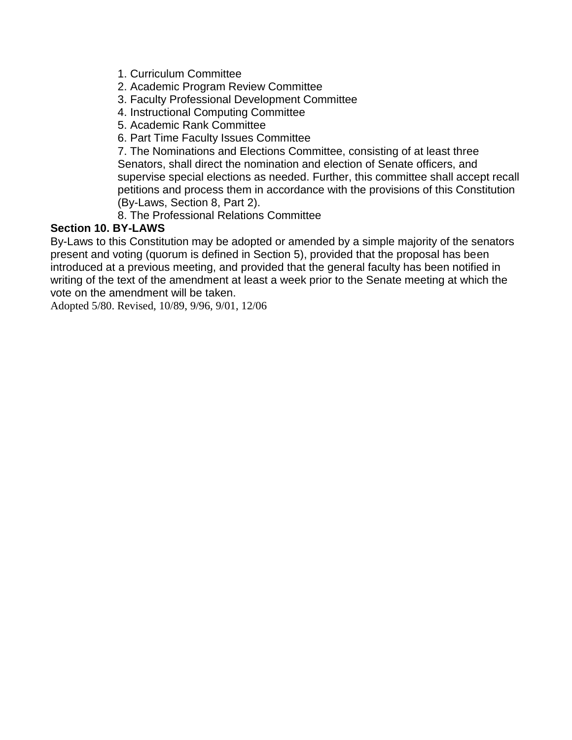- 1. Curriculum Committee
- 2. Academic Program Review Committee
- 3. Faculty Professional Development Committee
- 4. Instructional Computing Committee
- 5. Academic Rank Committee
- 6. Part Time Faculty Issues Committee

7. The Nominations and Elections Committee, consisting of at least three Senators, shall direct the nomination and election of Senate officers, and supervise special elections as needed. Further, this committee shall accept recall petitions and process them in accordance with the provisions of this Constitution (By-Laws, Section 8, Part 2).

8. The Professional Relations Committee

# **Section 10. BY-LAWS**

By-Laws to this Constitution may be adopted or amended by a simple majority of the senators present and voting (quorum is defined in Section 5), provided that the proposal has been introduced at a previous meeting, and provided that the general faculty has been notified in writing of the text of the amendment at least a week prior to the Senate meeting at which the vote on the amendment will be taken.

Adopted 5/80. Revised, 10/89, 9/96, 9/01, 12/06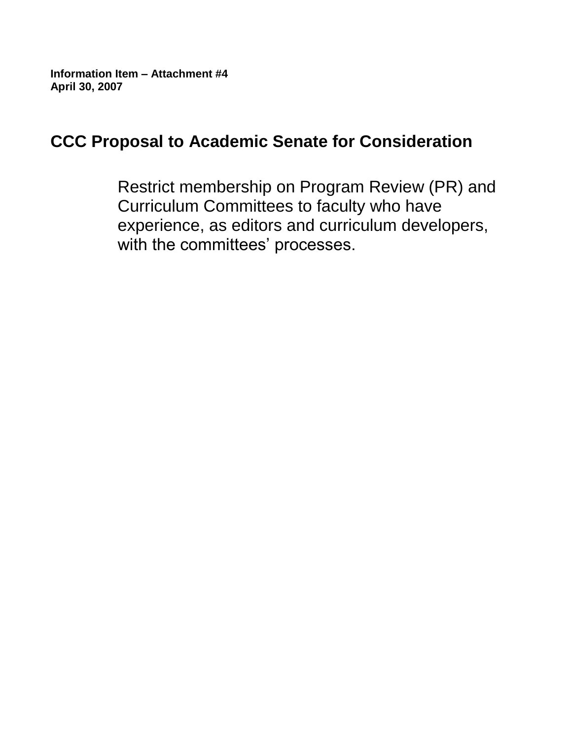**Information Item – Attachment #4 April 30, 2007**

# **CCC Proposal to Academic Senate for Consideration**

Restrict membership on Program Review (PR) and Curriculum Committees to faculty who have experience, as editors and curriculum developers, with the committees' processes.